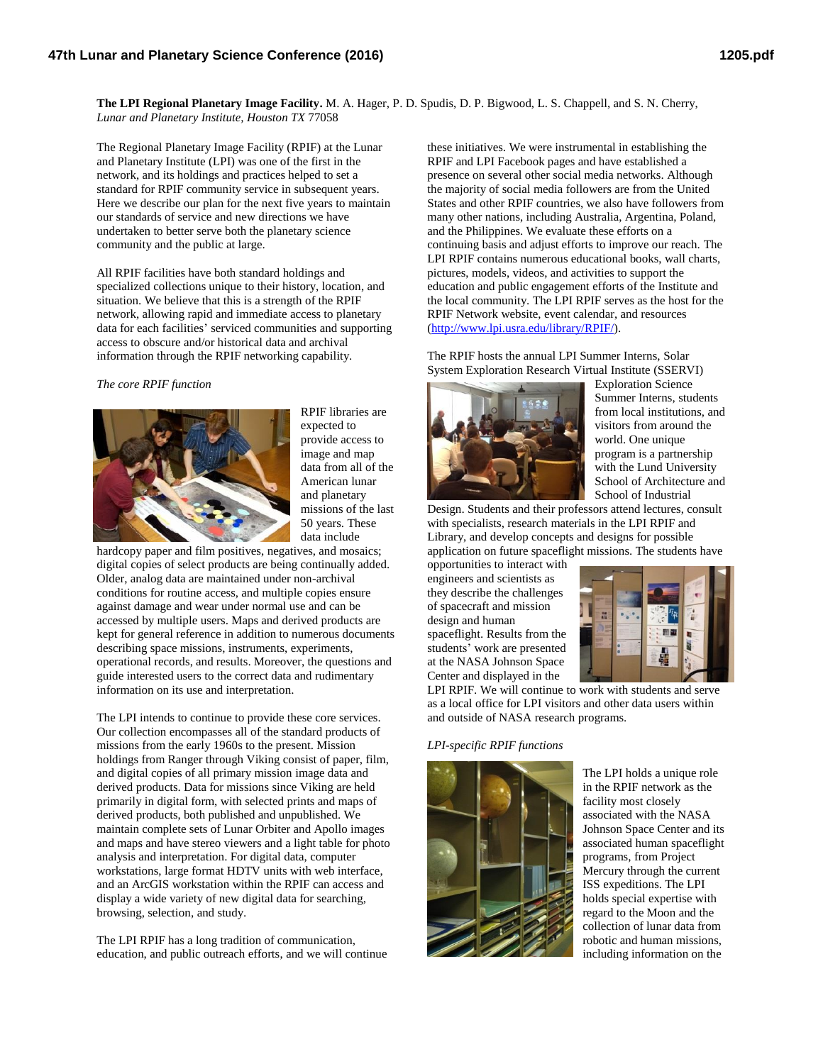**The LPI Regional Planetary Image Facility.** M. A. Hager, P. D. Spudis, D. P. Bigwood, L. S. Chappell, and S. N. Cherry, *Lunar and Planetary Institute, Houston TX* 77058

The Regional Planetary Image Facility (RPIF) at the Lunar and Planetary Institute (LPI) was one of the first in the network, and its holdings and practices helped to set a standard for RPIF community service in subsequent years. Here we describe our plan for the next five years to maintain our standards of service and new directions we have undertaken to better serve both the planetary science community and the public at large.

All RPIF facilities have both standard holdings and specialized collections unique to their history, location, and situation. We believe that this is a strength of the RPIF network, allowing rapid and immediate access to planetary data for each facilities' serviced communities and supporting access to obscure and/or historical data and archival information through the RPIF networking capability.

*The core RPIF function*



RPIF libraries are expected to provide access to image and map data from all of the American lunar and planetary missions of the last 50 years. These data include

hardcopy paper and film positives, negatives, and mosaics; digital copies of select products are being continually added. Older, analog data are maintained under non-archival conditions for routine access, and multiple copies ensure against damage and wear under normal use and can be accessed by multiple users. Maps and derived products are kept for general reference in addition to numerous documents describing space missions, instruments, experiments, operational records, and results. Moreover, the questions and guide interested users to the correct data and rudimentary information on its use and interpretation.

The LPI intends to continue to provide these core services. Our collection encompasses all of the standard products of missions from the early 1960s to the present. Mission holdings from Ranger through Viking consist of paper, film, and digital copies of all primary mission image data and derived products. Data for missions since Viking are held primarily in digital form, with selected prints and maps of derived products, both published and unpublished. We maintain complete sets of Lunar Orbiter and Apollo images and maps and have stereo viewers and a light table for photo analysis and interpretation. For digital data, computer workstations, large format HDTV units with web interface, and an ArcGIS workstation within the RPIF can access and display a wide variety of new digital data for searching, browsing, selection, and study.

The LPI RPIF has a long tradition of communication, education, and public outreach efforts, and we will continue

these initiatives. We were instrumental in establishing the RPIF and LPI Facebook pages and have established a presence on several other social media networks. Although the majority of social media followers are from the United States and other RPIF countries, we also have followers from many other nations, including Australia, Argentina, Poland, and the Philippines. We evaluate these efforts on a continuing basis and adjust efforts to improve our reach. The LPI RPIF contains numerous educational books, wall charts, pictures, models, videos, and activities to support the education and public engagement efforts of the Institute and the local community. The LPI RPIF serves as the host for the RPIF Network website, event calendar, and resources [\(http://www.lpi.usra.edu/library/RPIF/\)](http://www.lpi.usra.edu/library/RPIF/).

The RPIF hosts the annual LPI Summer Interns, Solar System Exploration Research Virtual Institute (SSERVI)



Exploration Science Summer Interns, students from local institutions, and visitors from around the world. One unique program is a partnership with the Lund University School of Architecture and School of Industrial

Design. Students and their professors attend lectures, consult with specialists, research materials in the LPI RPIF and Library, and develop concepts and designs for possible application on future spaceflight missions. The students have

opportunities to interact with engineers and scientists as they describe the challenges of spacecraft and mission design and human spaceflight. Results from the students' work are presented at the NASA Johnson Space



LPI RPIF. We will continue to work with students and serve as a local office for LPI visitors and other data users within and outside of NASA research programs.

## *LPI-specific RPIF functions*

Center and displayed in the



The LPI holds a unique role in the RPIF network as the facility most closely associated with the NASA Johnson Space Center and its associated human spaceflight programs, from Project Mercury through the current ISS expeditions. The LPI holds special expertise with regard to the Moon and the collection of lunar data from robotic and human missions, including information on the